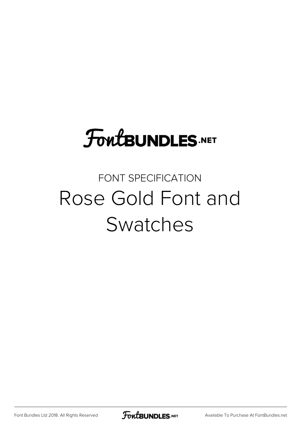# **FoutBUNDLES.NET**

## FONT SPECIFICATION Rose Gold Font and Swatches

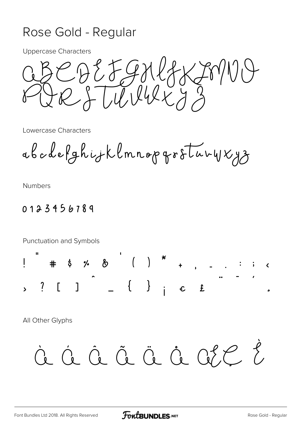#### Rose Gold - Regular

**Uppercase Characters** 

CDEFGNGKJM<br>RJUUUKJ3

Lowercase Characters

abodefghijklmnopgroturyxyz

**Numbers** 

#### 0123456789

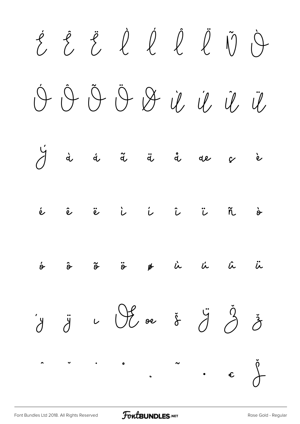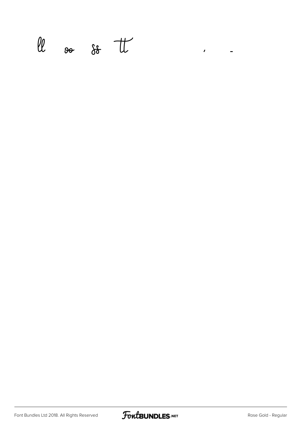$\ell\ell$  so so the contract of

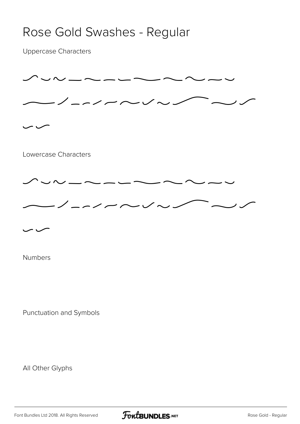### Rose Gold Swashes - Regular

Uppercase Characters



Numbers

Punctuation and Symbols

All Other Glyphs